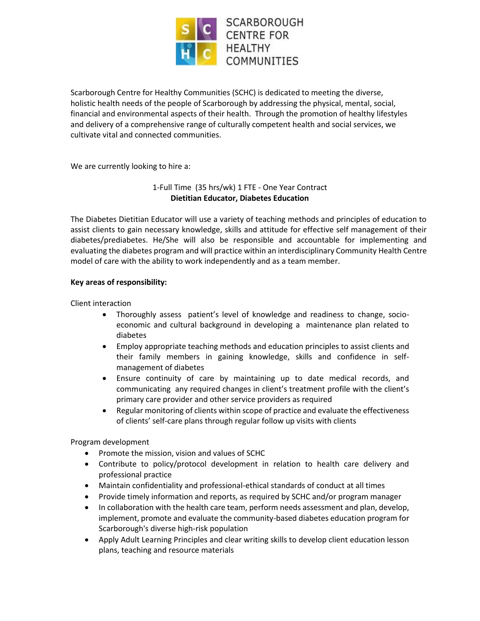

Scarborough Centre for Healthy Communities (SCHC) is dedicated to meeting the diverse, holistic health needs of the people of Scarborough by addressing the physical, mental, social, financial and environmental aspects of their health. Through the promotion of healthy lifestyles and delivery of a comprehensive range of culturally competent health and social services, we cultivate vital and connected communities.

We are currently looking to hire a:

# 1-Full Time (35 hrs/wk) 1 FTE - One Year Contract **Dietitian Educator, Diabetes Education**

The Diabetes Dietitian Educator will use a variety of teaching methods and principles of education to assist clients to gain necessary knowledge, skills and attitude for effective self management of their diabetes/prediabetes. He/She will also be responsible and accountable for implementing and evaluating the diabetes program and will practice within an interdisciplinary Community Health Centre model of care with the ability to work independently and as a team member.

## **Key areas of responsibility:**

Client interaction

- Thoroughly assess patient's level of knowledge and readiness to change, socioeconomic and cultural background in developing a maintenance plan related to diabetes
- Employ appropriate teaching methods and education principles to assist clients and their family members in gaining knowledge, skills and confidence in selfmanagement of diabetes
- Ensure continuity of care by maintaining up to date medical records, and communicating any required changes in client's treatment profile with the client's primary care provider and other service providers as required
- Regular monitoring of clients within scope of practice and evaluate the effectiveness of clients' self-care plans through regular follow up visits with clients

Program development

- Promote the mission, vision and values of SCHC
- Contribute to policy/protocol development in relation to health care delivery and professional practice
- Maintain confidentiality and professional-ethical standards of conduct at all times
- Provide timely information and reports, as required by SCHC and/or program manager
- In collaboration with the health care team, perform needs assessment and plan, develop, implement, promote and evaluate the community-based diabetes education program for Scarborough's diverse high-risk population
- Apply Adult Learning Principles and clear writing skills to develop client education lesson plans, teaching and resource materials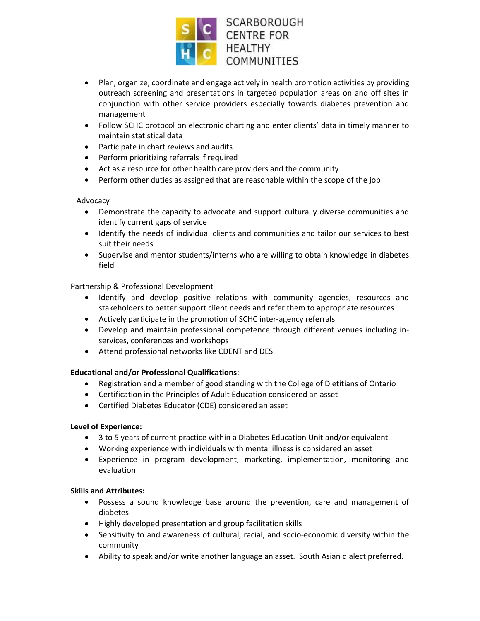

- Plan, organize, coordinate and engage actively in health promotion activities by providing outreach screening and presentations in targeted population areas on and off sites in conjunction with other service providers especially towards diabetes prevention and management
- Follow SCHC protocol on electronic charting and enter clients' data in timely manner to maintain statistical data
- Participate in chart reviews and audits
- Perform prioritizing referrals if required
- Act as a resource for other health care providers and the community
- Perform other duties as assigned that are reasonable within the scope of the job

### Advocacy

- Demonstrate the capacity to advocate and support culturally diverse communities and identify current gaps of service
- Identify the needs of individual clients and communities and tailor our services to best suit their needs
- Supervise and mentor students/interns who are willing to obtain knowledge in diabetes field

### Partnership & Professional Development

- Identify and develop positive relations with community agencies, resources and stakeholders to better support client needs and refer them to appropriate resources
- Actively participate in the promotion of SCHC inter-agency referrals
- Develop and maintain professional competence through different venues including inservices, conferences and workshops
- Attend professional networks like CDENT and DES

## **Educational and/or Professional Qualifications**:

- Registration and a member of good standing with the College of Dietitians of Ontario
- Certification in the Principles of Adult Education considered an asset
- Certified Diabetes Educator (CDE) considered an asset

### **Level of Experience:**

- 3 to 5 years of current practice within a Diabetes Education Unit and/or equivalent
- Working experience with individuals with mental illness is considered an asset
- Experience in program development, marketing, implementation, monitoring and evaluation

### **Skills and Attributes:**

- Possess a sound knowledge base around the prevention, care and management of diabetes
- Highly developed presentation and group facilitation skills
- Sensitivity to and awareness of cultural, racial, and socio-economic diversity within the community
- Ability to speak and/or write another language an asset. South Asian dialect preferred.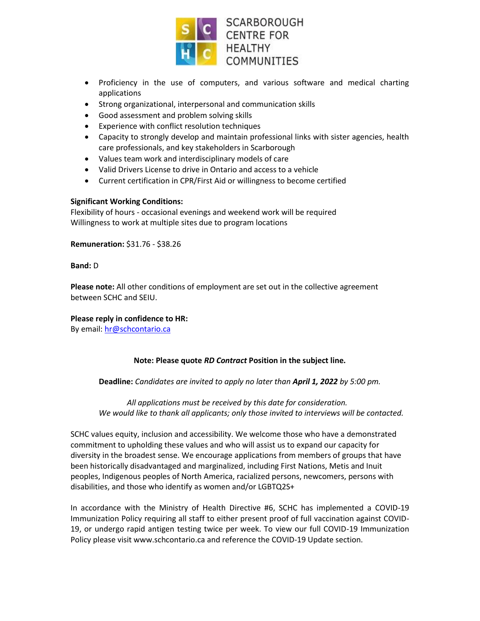

- Proficiency in the use of computers, and various software and medical charting applications
- Strong organizational, interpersonal and communication skills
- Good assessment and problem solving skills
- Experience with conflict resolution techniques
- Capacity to strongly develop and maintain professional links with sister agencies, health care professionals, and key stakeholders in Scarborough
- Values team work and interdisciplinary models of care
- Valid Drivers License to drive in Ontario and access to a vehicle
- Current certification in CPR/First Aid or willingness to become certified

### **Significant Working Conditions:**

Flexibility of hours - occasional evenings and weekend work will be required Willingness to work at multiple sites due to program locations

**Remuneration:** \$31.76 - \$38.26

#### **Band:** D

**Please note:** All other conditions of employment are set out in the collective agreement between SCHC and SEIU.

### **Please reply in confidence to HR:**

By email: [hr@schcontario.ca](mailto:hr@schcontario.ca)

### **Note: Please quote** *RD Contract* **Position in the subject line.**

**Deadline:** *Candidates are invited to apply no later than April 1, 2022 by 5:00 pm.*

*All applications must be received by this date for consideration. We would like to thank all applicants; only those invited to interviews will be contacted.*

SCHC values equity, inclusion and accessibility. We welcome those who have a demonstrated commitment to upholding these values and who will assist us to expand our capacity for diversity in the broadest sense. We encourage applications from members of groups that have been historically disadvantaged and marginalized, including First Nations, Metis and Inuit peoples, Indigenous peoples of North America, racialized persons, newcomers, persons with disabilities, and those who identify as women and/or LGBTQ2S+

In accordance with the Ministry of Health Directive #6, SCHC has implemented a COVID-19 Immunization Policy requiring all staff to either present proof of full vaccination against COVID-19, or undergo rapid antigen testing twice per week. To view our full COVID-19 Immunization Policy please visit www.schcontario.ca and reference the COVID-19 Update section.